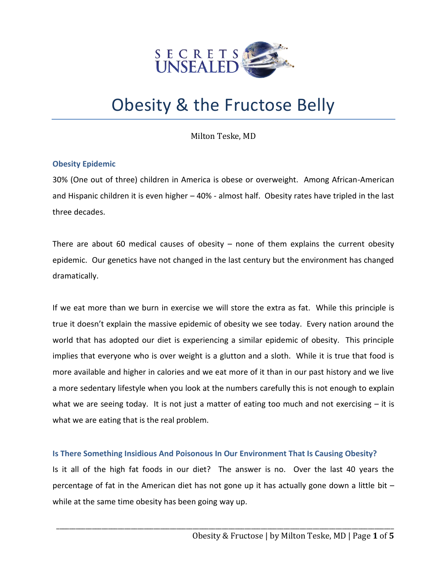

# Obesity & the Fructose Belly

Milton Teske, MD

## **Obesity Epidemic**

30% (One out of three) children in America is obese or overweight. Among African-American and Hispanic children it is even higher – 40% - almost half. Obesity rates have tripled in the last three decades.

There are about 60 medical causes of obesity  $-$  none of them explains the current obesity epidemic. Our genetics have not changed in the last century but the environment has changed dramatically.

If we eat more than we burn in exercise we will store the extra as fat. While this principle is true it doesn't explain the massive epidemic of obesity we see today. Every nation around the world that has adopted our diet is experiencing a similar epidemic of obesity. This principle implies that everyone who is over weight is a glutton and a sloth. While it is true that food is more available and higher in calories and we eat more of it than in our past history and we live a more sedentary lifestyle when you look at the numbers carefully this is not enough to explain what we are seeing today. It is not just a matter of eating too much and not exercising  $-$  it is what we are eating that is the real problem.

### **Is There Something Insidious And Poisonous In Our Environment That Is Causing Obesity?**

Is it all of the high fat foods in our diet? The answer is no. Over the last 40 years the percentage of fat in the American diet has not gone up it has actually gone down a little bit – while at the same time obesity has been going way up.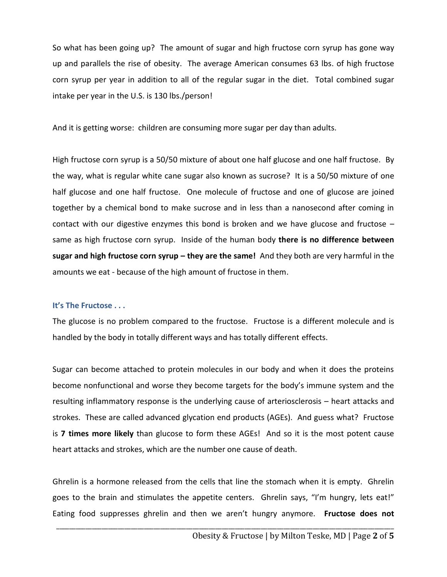So what has been going up? The amount of sugar and high fructose corn syrup has gone way up and parallels the rise of obesity. The average American consumes 63 lbs. of high fructose corn syrup per year in addition to all of the regular sugar in the diet. Total combined sugar intake per year in the U.S. is 130 lbs./person!

And it is getting worse: children are consuming more sugar per day than adults.

High fructose corn syrup is a 50/50 mixture of about one half glucose and one half fructose. By the way, what is regular white cane sugar also known as sucrose? It is a 50/50 mixture of one half glucose and one half fructose. One molecule of fructose and one of glucose are joined together by a chemical bond to make sucrose and in less than a nanosecond after coming in contact with our digestive enzymes this bond is broken and we have glucose and fructose – same as high fructose corn syrup. Inside of the human body **there is no difference between sugar and high fructose corn syrup – they are the same!** And they both are very harmful in the amounts we eat - because of the high amount of fructose in them.

### **It's The Fructose . . .**

The glucose is no problem compared to the fructose. Fructose is a different molecule and is handled by the body in totally different ways and has totally different effects.

Sugar can become attached to protein molecules in our body and when it does the proteins become nonfunctional and worse they become targets for the body's immune system and the resulting inflammatory response is the underlying cause of arteriosclerosis – heart attacks and strokes. These are called advanced glycation end products (AGEs). And guess what? Fructose is **7 times more likely** than glucose to form these AGEs! And so it is the most potent cause heart attacks and strokes, which are the number one cause of death.

Ghrelin is a hormone released from the cells that line the stomach when it is empty. Ghrelin goes to the brain and stimulates the appetite centers. Ghrelin says, "I'm hungry, lets eat!" Eating food suppresses ghrelin and then we aren't hungry anymore. **Fructose does not**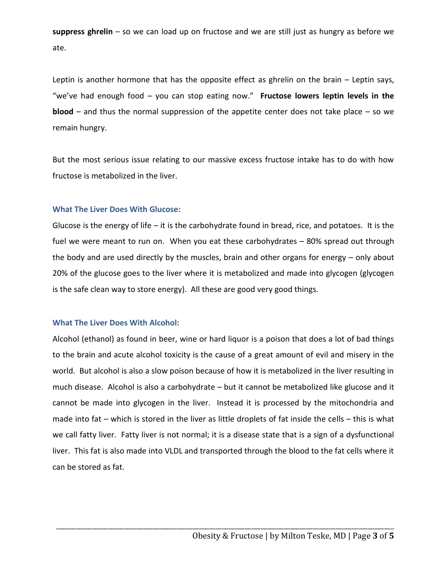**suppress ghrelin** – so we can load up on fructose and we are still just as hungry as before we ate.

Leptin is another hormone that has the opposite effect as ghrelin on the brain – Leptin says, "we've had enough food – you can stop eating now." **Fructose lowers leptin levels in the blood** – and thus the normal suppression of the appetite center does not take place – so we remain hungry.

But the most serious issue relating to our massive excess fructose intake has to do with how fructose is metabolized in the liver.

### **What The Liver Does With Glucose:**

Glucose is the energy of life  $-$  it is the carbohydrate found in bread, rice, and potatoes. It is the fuel we were meant to run on. When you eat these carbohydrates – 80% spread out through the body and are used directly by the muscles, brain and other organs for energy – only about 20% of the glucose goes to the liver where it is metabolized and made into glycogen (glycogen is the safe clean way to store energy). All these are good very good things.

### **What The Liver Does With Alcohol:**

Alcohol (ethanol) as found in beer, wine or hard liquor is a poison that does a lot of bad things to the brain and acute alcohol toxicity is the cause of a great amount of evil and misery in the world. But alcohol is also a slow poison because of how it is metabolized in the liver resulting in much disease. Alcohol is also a carbohydrate – but it cannot be metabolized like glucose and it cannot be made into glycogen in the liver. Instead it is processed by the mitochondria and made into fat – which is stored in the liver as little droplets of fat inside the cells – this is what we call fatty liver. Fatty liver is not normal; it is a disease state that is a sign of a dysfunctional liver. This fat is also made into VLDL and transported through the blood to the fat cells where it can be stored as fat.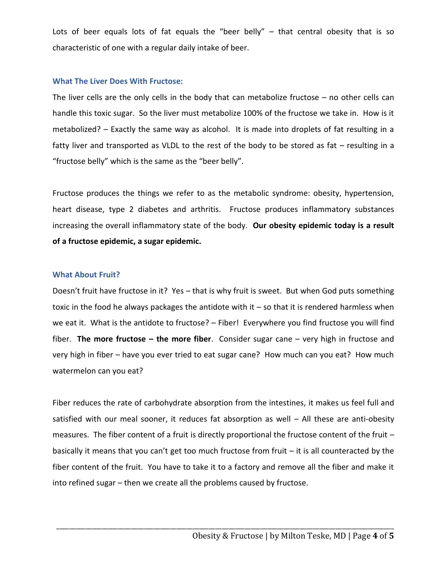Lots of beer equals lots of fat equals the "beer belly"  $-$  that central obesity that is so characteristic of one with a regular daily intake of beer.

#### **What The Liver Does With Fructose:**

The liver cells are the only cells in the body that can metabolize fructose  $-$  no other cells can handle this toxic sugar. So the liver must metabolize 100% of the fructose we take in. How is it metabolized? – Exactly the same way as alcohol. It is made into droplets of fat resulting in a fatty liver and transported as VLDL to the rest of the body to be stored as fat – resulting in a "fructose belly" which is the same as the "beer belly".

Fructose produces the things we refer to as the metabolic syndrome: obesity, hypertension, heart disease, type 2 diabetes and arthritis. Fructose produces inflammatory substances increasing the overall inflammatory state of the body. **Our obesity epidemic today is a result of a fructose epidemic, a sugar epidemic.** 

#### **What About Fruit?**

Doesn't fruit have fructose in it? Yes – that is why fruit is sweet. But when God puts something toxic in the food he always packages the antidote with it  $-$  so that it is rendered harmless when we eat it. What is the antidote to fructose? - Fiber! Everywhere you find fructose you will find fiber. **The more fructose – the more fiber**. Consider sugar cane – very high in fructose and very high in fiber – have you ever tried to eat sugar cane? How much can you eat? How much watermelon can you eat?

Fiber reduces the rate of carbohydrate absorption from the intestines, it makes us feel full and satisfied with our meal sooner, it reduces fat absorption as well – All these are anti-obesity measures. The fiber content of a fruit is directly proportional the fructose content of the fruit – basically it means that you can't get too much fructose from fruit – it is all counteracted by the fiber content of the fruit. You have to take it to a factory and remove all the fiber and make it into refined sugar – then we create all the problems caused by fructose.